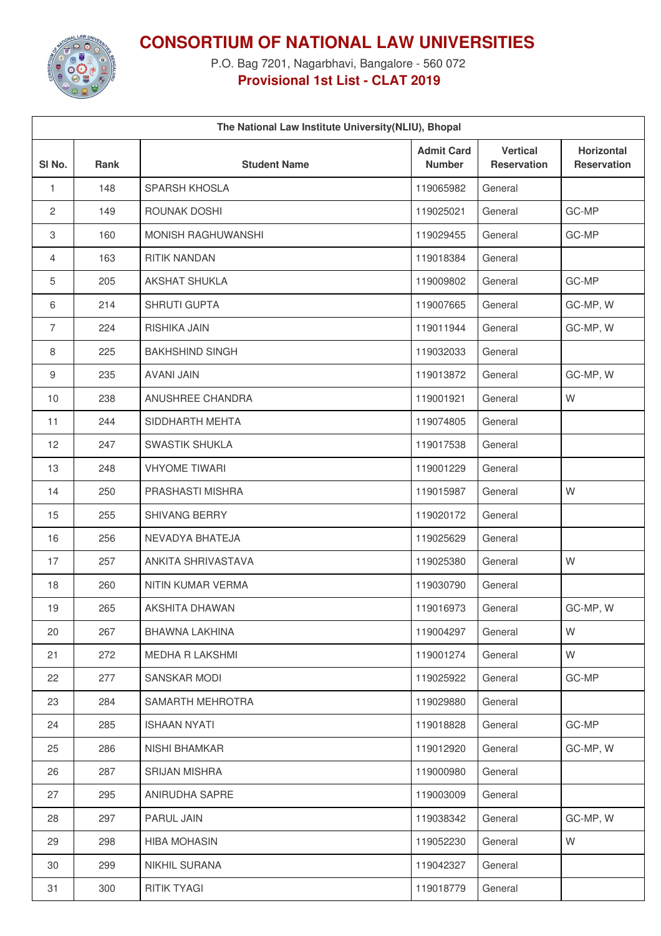

**CONSORTIUM OF NATIONAL LAW UNIVERSITIES**

P.O. Bag 7201, Nagarbhavi, Bangalore - 560 072 **Provisional 1st List - CLAT 2019**

| The National Law Institute University (NLIU), Bhopal |             |                        |                                    |                                       |                                         |  |
|------------------------------------------------------|-------------|------------------------|------------------------------------|---------------------------------------|-----------------------------------------|--|
| SI <sub>No.</sub>                                    | <b>Rank</b> | <b>Student Name</b>    | <b>Admit Card</b><br><b>Number</b> | <b>Vertical</b><br><b>Reservation</b> | <b>Horizontal</b><br><b>Reservation</b> |  |
| $\mathbf{1}$                                         | 148         | <b>SPARSH KHOSLA</b>   | 119065982                          | General                               |                                         |  |
| $\mathbf{2}$                                         | 149         | ROUNAK DOSHI           | 119025021                          | General                               | GC-MP                                   |  |
| 3                                                    | 160         | MONISH RAGHUWANSHI     | 119029455                          | General                               | GC-MP                                   |  |
| 4                                                    | 163         | <b>RITIK NANDAN</b>    | 119018384                          | General                               |                                         |  |
| 5                                                    | 205         | AKSHAT SHUKLA          | 119009802                          | General                               | GC-MP                                   |  |
| 6                                                    | 214         | SHRUTI GUPTA           | 119007665                          | General                               | GC-MP, W                                |  |
| $\overline{7}$                                       | 224         | RISHIKA JAIN           | 119011944                          | General                               | GC-MP, W                                |  |
| 8                                                    | 225         | <b>BAKHSHIND SINGH</b> | 119032033                          | General                               |                                         |  |
| 9                                                    | 235         | <b>AVANI JAIN</b>      | 119013872                          | General                               | GC-MP, W                                |  |
| 10                                                   | 238         | ANUSHREE CHANDRA       | 119001921                          | General                               | W                                       |  |
| 11                                                   | 244         | SIDDHARTH MEHTA        | 119074805                          | General                               |                                         |  |
| 12                                                   | 247         | <b>SWASTIK SHUKLA</b>  | 119017538                          | General                               |                                         |  |
| 13                                                   | 248         | <b>VHYOME TIWARI</b>   | 119001229                          | General                               |                                         |  |
| 14                                                   | 250         | PRASHASTI MISHRA       | 119015987                          | General                               | W                                       |  |
| 15                                                   | 255         | SHIVANG BERRY          | 119020172                          | General                               |                                         |  |
| 16                                                   | 256         | NEVADYA BHATEJA        | 119025629                          | General                               |                                         |  |
| 17                                                   | 257         | ANKITA SHRIVASTAVA     | 119025380                          | General                               | W                                       |  |
| 18                                                   | 260         | NITIN KUMAR VERMA      | 119030790                          | General                               |                                         |  |
| 19                                                   | 265         | AKSHITA DHAWAN         | 119016973                          | General                               | GC-MP, W                                |  |
| 20                                                   | 267         | <b>BHAWNA LAKHINA</b>  | 119004297                          | General                               | W                                       |  |
| 21                                                   | 272         | <b>MEDHA R LAKSHMI</b> | 119001274                          | General                               | W                                       |  |
| 22                                                   | 277         | SANSKAR MODI           | 119025922                          | General                               | GC-MP                                   |  |
| 23                                                   | 284         | SAMARTH MEHROTRA       | 119029880                          | General                               |                                         |  |
| 24                                                   | 285         | <b>ISHAAN NYATI</b>    | 119018828                          | General                               | GC-MP                                   |  |
| 25                                                   | 286         | <b>NISHI BHAMKAR</b>   | 119012920                          | General                               | GC-MP, W                                |  |
| 26                                                   | 287         | <b>SRIJAN MISHRA</b>   | 119000980                          | General                               |                                         |  |
| 27                                                   | 295         | ANIRUDHA SAPRE         | 119003009                          | General                               |                                         |  |
| 28                                                   | 297         | PARUL JAIN             | 119038342                          | General                               | GC-MP, W                                |  |
| 29                                                   | 298         | <b>HIBA MOHASIN</b>    | 119052230                          | General                               | W                                       |  |
| 30                                                   | 299         | <b>NIKHIL SURANA</b>   | 119042327                          | General                               |                                         |  |
| 31                                                   | 300         | <b>RITIK TYAGI</b>     | 119018779                          | General                               |                                         |  |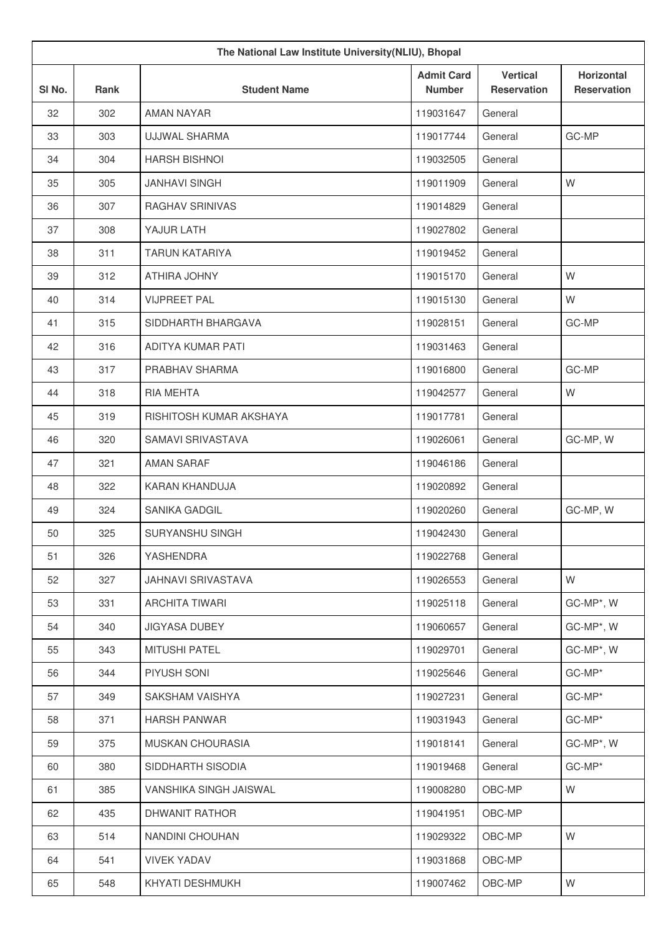| The National Law Institute University(NLIU), Bhopal |             |                         |                                    |                                       |                                         |
|-----------------------------------------------------|-------------|-------------------------|------------------------------------|---------------------------------------|-----------------------------------------|
| SI No.                                              | <b>Rank</b> | <b>Student Name</b>     | <b>Admit Card</b><br><b>Number</b> | <b>Vertical</b><br><b>Reservation</b> | <b>Horizontal</b><br><b>Reservation</b> |
| 32                                                  | 302         | <b>AMAN NAYAR</b>       | 119031647                          | General                               |                                         |
| 33                                                  | 303         | <b>UJJWAL SHARMA</b>    | 119017744                          | General                               | GC-MP                                   |
| 34                                                  | 304         | <b>HARSH BISHNOI</b>    | 119032505                          | General                               |                                         |
| 35                                                  | 305         | <b>JANHAVI SINGH</b>    | 119011909                          | General                               | W                                       |
| 36                                                  | 307         | <b>RAGHAV SRINIVAS</b>  | 119014829                          | General                               |                                         |
| 37                                                  | 308         | YAJUR LATH              | 119027802                          | General                               |                                         |
| 38                                                  | 311         | <b>TARUN KATARIYA</b>   | 119019452                          | General                               |                                         |
| 39                                                  | 312         | ATHIRA JOHNY            | 119015170                          | General                               | W                                       |
| 40                                                  | 314         | <b>VIJPREET PAL</b>     | 119015130                          | General                               | W                                       |
| 41                                                  | 315         | SIDDHARTH BHARGAVA      | 119028151                          | General                               | GC-MP                                   |
| 42                                                  | 316         | ADITYA KUMAR PATI       | 119031463                          | General                               |                                         |
| 43                                                  | 317         | PRABHAV SHARMA          | 119016800                          | General                               | GC-MP                                   |
| 44                                                  | 318         | RIA MEHTA               | 119042577                          | General                               | W                                       |
| 45                                                  | 319         | RISHITOSH KUMAR AKSHAYA | 119017781                          | General                               |                                         |
| 46                                                  | 320         | SAMAVI SRIVASTAVA       | 119026061                          | General                               | GC-MP, W                                |
| 47                                                  | 321         | <b>AMAN SARAF</b>       | 119046186                          | General                               |                                         |
| 48                                                  | 322         | KARAN KHANDUJA          | 119020892                          | General                               |                                         |
| 49                                                  | 324         | <b>SANIKA GADGIL</b>    | 119020260                          | General                               | GC-MP, W                                |
| 50                                                  | 325         | SURYANSHU SINGH         | 119042430                          | General                               |                                         |
| 51                                                  | 326         | YASHENDRA               | 119022768                          | General                               |                                         |
| 52                                                  | 327         | JAHNAVI SRIVASTAVA      | 119026553                          | General                               | W                                       |
| 53                                                  | 331         | <b>ARCHITA TIWARI</b>   | 119025118                          | General                               | GC-MP*, W                               |
| 54                                                  | 340         | <b>JIGYASA DUBEY</b>    | 119060657                          | General                               | GC-MP*, W                               |
| 55                                                  | 343         | <b>MITUSHI PATEL</b>    | 119029701                          | General                               | GC-MP*, W                               |
| 56                                                  | 344         | PIYUSH SONI             | 119025646                          | General                               | GC-MP*                                  |
| 57                                                  | 349         | SAKSHAM VAISHYA         | 119027231                          | General                               | GC-MP*                                  |
| 58                                                  | 371         | <b>HARSH PANWAR</b>     | 119031943                          | General                               | GC-MP*                                  |
| 59                                                  | 375         | MUSKAN CHOURASIA        | 119018141                          | General                               | GC-MP*, W                               |
| 60                                                  | 380         | SIDDHARTH SISODIA       | 119019468                          | General                               | GC-MP*                                  |
| 61                                                  | 385         | VANSHIKA SINGH JAISWAL  | 119008280                          | OBC-MP                                | W                                       |
| 62                                                  | 435         | DHWANIT RATHOR          | 119041951                          | OBC-MP                                |                                         |
| 63                                                  | 514         | NANDINI CHOUHAN         | 119029322                          | OBC-MP                                | W                                       |
| 64                                                  | 541         | <b>VIVEK YADAV</b>      | 119031868                          | OBC-MP                                |                                         |
| 65                                                  | 548         | KHYATI DESHMUKH         | 119007462                          | OBC-MP                                | W                                       |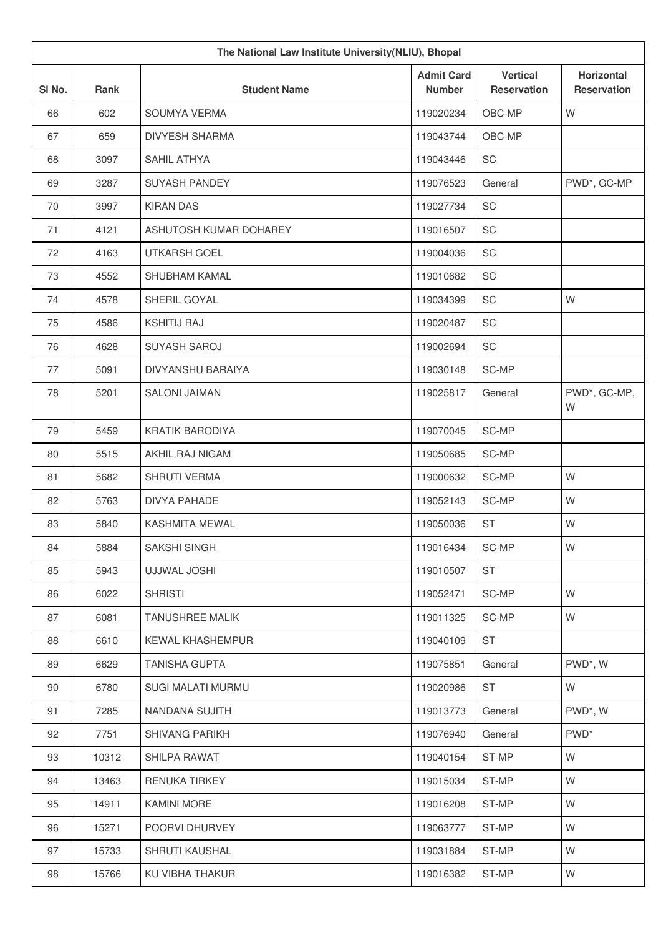| The National Law Institute University(NLIU), Bhopal |             |                          |                                    |                                       |                                         |
|-----------------------------------------------------|-------------|--------------------------|------------------------------------|---------------------------------------|-----------------------------------------|
| SI No.                                              | <b>Rank</b> | <b>Student Name</b>      | <b>Admit Card</b><br><b>Number</b> | <b>Vertical</b><br><b>Reservation</b> | <b>Horizontal</b><br><b>Reservation</b> |
| 66                                                  | 602         | SOUMYA VERMA             | 119020234                          | OBC-MP                                | W                                       |
| 67                                                  | 659         | <b>DIVYESH SHARMA</b>    | 119043744                          | OBC-MP                                |                                         |
| 68                                                  | 3097        | SAHIL ATHYA              | 119043446                          | SC                                    |                                         |
| 69                                                  | 3287        | <b>SUYASH PANDEY</b>     | 119076523                          | General                               | PWD*, GC-MP                             |
| 70                                                  | 3997        | <b>KIRAN DAS</b>         | 119027734                          | SC                                    |                                         |
| 71                                                  | 4121        | ASHUTOSH KUMAR DOHAREY   | 119016507                          | SC                                    |                                         |
| 72                                                  | 4163        | UTKARSH GOEL             | 119004036                          | SC                                    |                                         |
| 73                                                  | 4552        | SHUBHAM KAMAL            | 119010682                          | SC                                    |                                         |
| 74                                                  | 4578        | SHERIL GOYAL             | 119034399                          | SC                                    | W                                       |
| 75                                                  | 4586        | <b>KSHITIJ RAJ</b>       | 119020487                          | SC                                    |                                         |
| 76                                                  | 4628        | <b>SUYASH SAROJ</b>      | 119002694                          | SC                                    |                                         |
| 77                                                  | 5091        | DIVYANSHU BARAIYA        | 119030148                          | SC-MP                                 |                                         |
| 78                                                  | 5201        | <b>SALONI JAIMAN</b>     | 119025817                          | General                               | PWD*, GC-MP,<br>W                       |
| 79                                                  | 5459        | <b>KRATIK BARODIYA</b>   | 119070045                          | SC-MP                                 |                                         |
| 80                                                  | 5515        | AKHIL RAJ NIGAM          | 119050685                          | SC-MP                                 |                                         |
| 81                                                  | 5682        | SHRUTI VERMA             | 119000632                          | SC-MP                                 | W                                       |
| 82                                                  | 5763        | <b>DIVYA PAHADE</b>      | 119052143                          | SC-MP                                 | W                                       |
| 83                                                  | 5840        | <b>KASHMITA MEWAL</b>    | 119050036                          | <b>ST</b>                             | W                                       |
| 84                                                  | 5884        | SAKSHI SINGH             | 119016434                          | SC-MP                                 | W                                       |
| 85                                                  | 5943        | <b>UJJWAL JOSHI</b>      | 119010507                          | <b>ST</b>                             |                                         |
| 86                                                  | 6022        | <b>SHRISTI</b>           | 119052471                          | SC-MP                                 | W                                       |
| 87                                                  | 6081        | <b>TANUSHREE MALIK</b>   | 119011325                          | SC-MP                                 | W                                       |
| 88                                                  | 6610        | <b>KEWAL KHASHEMPUR</b>  | 119040109                          | ST                                    |                                         |
| 89                                                  | 6629        | <b>TANISHA GUPTA</b>     | 119075851                          | General                               | PWD*, W                                 |
| 90                                                  | 6780        | <b>SUGI MALATI MURMU</b> | 119020986                          | <b>ST</b>                             | W                                       |
| 91                                                  | 7285        | NANDANA SUJITH           | 119013773                          | General                               | PWD*, W                                 |
| 92                                                  | 7751        | <b>SHIVANG PARIKH</b>    | 119076940                          | General                               | PWD <sup>*</sup>                        |
| 93                                                  | 10312       | SHILPA RAWAT             | 119040154                          | ST-MP                                 | W                                       |
| 94                                                  | 13463       | <b>RENUKA TIRKEY</b>     | 119015034                          | ST-MP                                 | W                                       |
| 95                                                  | 14911       | <b>KAMINI MORE</b>       | 119016208                          | ST-MP                                 | W                                       |
| 96                                                  | 15271       | POORVI DHURVEY           | 119063777                          | ST-MP                                 | W                                       |
| 97                                                  | 15733       | SHRUTI KAUSHAL           | 119031884                          | ST-MP                                 | W                                       |
| 98                                                  | 15766       | KU VIBHA THAKUR          | 119016382                          | ST-MP                                 | W                                       |